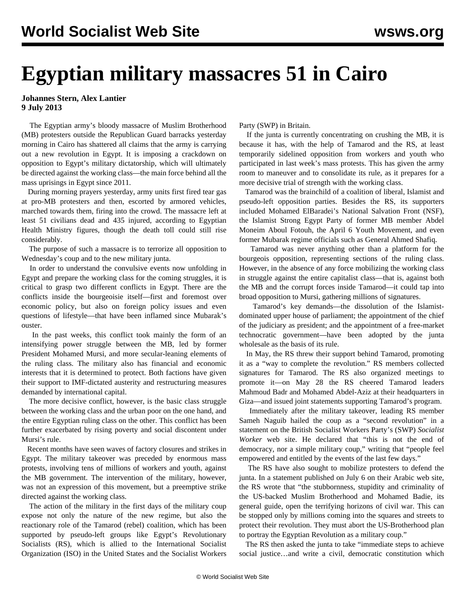## **Egyptian military massacres 51 in Cairo**

## **Johannes Stern, Alex Lantier 9 July 2013**

 The Egyptian army's bloody massacre of Muslim Brotherhood (MB) protesters outside the Republican Guard barracks yesterday morning in Cairo has shattered all claims that the army is carrying out a new revolution in Egypt. It is imposing a crackdown on opposition to Egypt's military dictatorship, which will ultimately be directed against the working class—the main force behind all the mass uprisings in Egypt since 2011.

 During morning prayers yesterday, army units first fired tear gas at pro-MB protesters and then, escorted by armored vehicles, marched towards them, firing into the crowd. The massacre left at least 51 civilians dead and 435 injured, according to Egyptian Health Ministry figures, though the death toll could still rise considerably.

 The purpose of such a massacre is to terrorize all opposition to Wednesday's coup and to the new military junta.

 In order to understand the convulsive events now unfolding in Egypt and prepare the working class for the coming struggles, it is critical to grasp two different conflicts in Egypt. There are the conflicts inside the bourgeoisie itself—first and foremost over economic policy, but also on foreign policy issues and even questions of lifestyle—that have been inflamed since Mubarak's ouster.

 In the past weeks, this conflict took mainly the form of an intensifying power struggle between the MB, led by former President Mohamed Mursi, and more secular-leaning elements of the ruling class. The military also has financial and economic interests that it is determined to protect. Both factions have given their support to IMF-dictated austerity and restructuring measures demanded by international capital.

 The more decisive conflict, however, is the basic class struggle between the working class and the urban poor on the one hand, and the entire Egyptian ruling class on the other. This conflict has been further exacerbated by rising poverty and social discontent under Mursi's rule.

 Recent months have seen waves of factory closures and strikes in Egypt. The military takeover was preceded by enormous mass protests, involving tens of millions of workers and youth, against the MB government. The intervention of the military, however, was not an expression of this movement, but a preemptive strike directed against the working class.

 The action of the military in the first days of the military coup expose not only the nature of the new regime, but also the reactionary role of the Tamarod (rebel) coalition, which has been supported by pseudo-left groups like Egypt's Revolutionary Socialists (RS), which is allied to the International Socialist Organization (ISO) in the United States and the Socialist Workers

Party (SWP) in Britain.

 If the junta is currently concentrating on crushing the MB, it is because it has, with the help of Tamarod and the RS, at least temporarily sidelined opposition from workers and youth who participated in last week's mass protests. This has given the army room to maneuver and to consolidate its rule, as it prepares for a more decisive trial of strength with the working class.

 Tamarod was the brainchild of a coalition of liberal, Islamist and pseudo-left opposition parties. Besides the RS, its supporters included Mohamed ElBaradei's National Salvation Front (NSF), the Islamist Strong Egypt Party of former MB member Abdel Moneim Aboul Fotouh, the April 6 Youth Movement, and even former Mubarak regime officials such as General Ahmed Shafiq.

 Tamarod was never anything other than a platform for the bourgeois opposition, representing sections of the ruling class. However, in the absence of any force mobilizing the working class in struggle against the entire capitalist class—that is, against both the MB and the corrupt forces inside Tamarod—it could tap into broad opposition to Mursi, gathering millions of signatures.

 Tamarod's key demands—the dissolution of the Islamistdominated upper house of parliament; the appointment of the chief of the judiciary as president; and the appointment of a free-market technocratic government—have been adopted by the junta wholesale as the basis of its rule.

 In May, the RS threw their support behind Tamarod, promoting it as a "way to complete the revolution." RS members collected signatures for Tamarod. The RS also organized meetings to promote it—on May 28 the RS [cheered](http://www.youtube.com/watch?v=oracK-NDPOk) Tamarod leaders Mahmoud Badr and Mohamed Abdel-Aziz at their headquarters in Giza—and issued joint statements supporting Tamarod's program.

 Immediately after the military takeover, leading RS member Sameh Naguib hailed the coup as a "second revolution" in a statement on the British Socialist Workers Party's (SWP) *Socialist Worker* web site. He declared that "this is not the end of democracy, nor a simple military coup," writing that "people feel empowered and entitled by the events of the last few days."

 The RS have also sought to mobilize protesters to defend the junta. In a statement published on July 6 on their Arabic web site, the RS wrote that "the stubbornness, stupidity and criminality of the US-backed Muslim Brotherhood and Mohamed Badie, its general guide, open the terrifying horizons of civil war. This can be stopped only by millions coming into the squares and streets to protect their revolution. They must abort the US-Brotherhood plan to portray the Egyptian Revolution as a military coup."

 The RS then asked the junta to take "immediate steps to achieve social justice…and write a civil, democratic constitution which